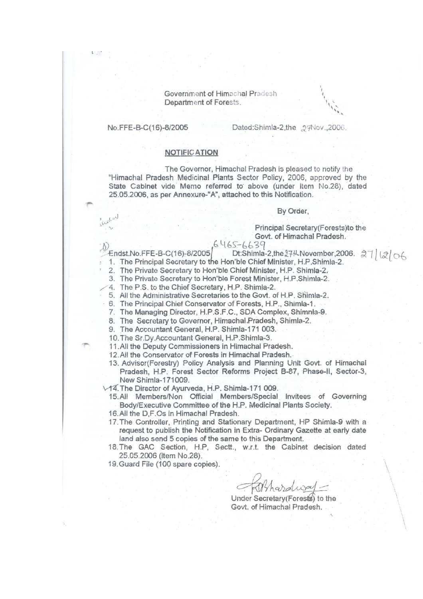Government of Himachal Praciesh Department of Forests.

#### No.FFE-B-C(16)-8/2005

#### Dated:Shimla-2,the 29Nov.,2006.

#### **NOTIFICATION**

The Governor, Himachal Pradesh is pleased to notify the "Himachal Pradesh Medicinal Plants Sector Policy, 2006, approved by the State Cabinet vide Memo referred to above (under Item No.28), dated 25.05.2006, as per Annexure-"A", attached to this Notification.

#### By Order,

#### Principal Secretary (Forests) to the Govt. of Himachal Pradesh.

#### $6465 - 6639$

Dt:Shimla-2,the 17th November, 2006. 27 | 2 06 Endst.No.FFE-B-C(16)-8/2005

1. The Principal Secretary to the Hon'ble Chief Minister, H.P.Shimla-2.

2. The Private Secretary to Hon'ble Chief Minister, H.P. Shimla-2.

3. The Private Secretary to Hon'ble Forest Minister, H.P.Shimla-2.

4. The P.S. to the Chief Secretary, H.P. Shimla-2.

5. All the Administrative Secretaries to the Govt. of H.P. Shimla-2.

6. The Principal Chief Conservator of Forests, H.P., Shimla-1.

7. The Managing Director, H.P.S.F.C., SDA Complex, Shimnla-9.

- 8. The Secretary to Governor, Himachal Pradesh, Shimla-2.
- 9. The Accountant General, H.P. Shimla-171 003.

10. The Sr.Dy.Accountant General, H.P.Shimla-3.

11. All the Deputy Commissioners in Himachal Pradesh.

- 12. All the Conservator of Forests in Himachal Pradesh.
- 13. Advisor(Forestry) Policy Analysis and Planning Unit Govt. of Himachal Pradesh, H.P. Forest Sector Reforms Project B-87, Phase-II, Sector-3, New Shimla-171009.

V14. The Director of Ayurveda, H.P. Shimla-171 009.

- 15.All Members/Non Official Members/Special Invitees of Governing Body/Executive Committee of the H.P. Medicinal Plants Society.
- 16. All the D.F.Os in Himachal Pradesh.
- 17. The Controller, Printing and Stationary Department, HP Shimla-9 with a request to publish the Notification in Extra- Ordinary Gazette at early date land also send 5 copies of the same to this Department.
- 18. The GAC Section, H.P, Sectt., w.r.t. the Cabinet decision dated 25.05.2006 (item No.28).
- 19. Guard File (100 spare copies).

Kithard

Under Secretary (Forests) to the Govt. of Himachal Pradesh.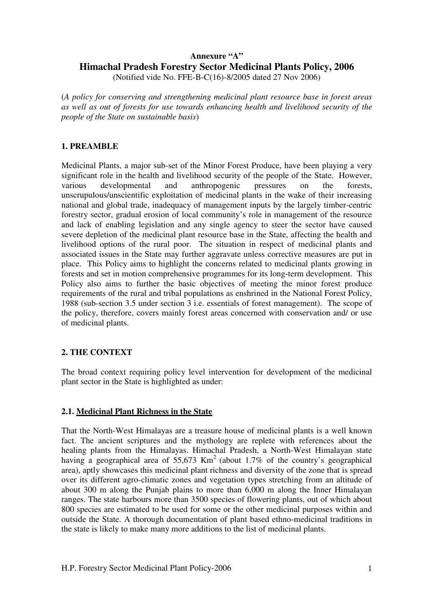# **Annexure "A" Himachal Pradesh Forestry Sector Medicinal Plants Policy, 2006**

(Notified vide No. FFE-B-C(16)-8/2005 dated 27 Nov 2006)

(*A policy for conserving and strengthening medicinal plant resource base in forest areas as well as out of forests for use towards enhancing health and livelihood security of the people of the State on sustainable basis*)

# **1. PREAMBLE**

Medicinal Plants, a major sub-set of the Minor Forest Produce, have been playing a very significant role in the health and livelihood security of the people of the State. However, various developmental and anthropogenic pressures on the forests, unscrupulous/unscientific exploitation of medicinal plants in the wake of their increasing national and global trade, inadequacy of management inputs by the largely timber-centric forestry sector, gradual erosion of local community's role in management of the resource and lack of enabling legislation and any single agency to steer the sector have caused severe depletion of the medicinal plant resource base in the State, affecting the health and livelihood options of the rural poor. The situation in respect of medicinal plants and associated issues in the State may further aggravate unless corrective measures are put in place. This Policy aims to highlight the concerns related to medicinal plants growing in forests and set in motion comprehensive programmes for its long-term development. This Policy also aims to further the basic objectives of meeting the minor forest produce requirements of the rural and tribal populations as enshrined in the National Forest Policy, 1988 (sub-section 3.5 under section 3 i.e. essentials of forest management). The scope of the policy, therefore, covers mainly forest areas concerned with conservation and/ or use of medicinal plants.

# **2. THE CONTEXT**

The broad context requiring policy level intervention for development of the medicinal plant sector in the State is highlighted as under:

# **2.1. Medicinal Plant Richness in the State**

That the North-West Himalayas are a treasure house of medicinal plants is a well known fact. The ancient scriptures and the mythology are replete with references about the healing plants from the Himalayas. Himachal Pradesh, a North-West Himalayan state having a geographical area of  $55,673$  Km<sup>2</sup> (about 1.7% of the country's geographical area), aptly showcases this medicinal plant richness and diversity of the zone that is spread over its different agro-climatic zones and vegetation types stretching from an altitude of about 300 m along the Punjab plains to more than 6,000 m along the Inner Himalayan ranges. The state harbours more than 3500 species of flowering plants, out of which about 800 species are estimated to be used for some or the other medicinal purposes within and outside the State. A thorough documentation of plant based ethno-medicinal traditions in the state is likely to make many more additions to the list of medicinal plants.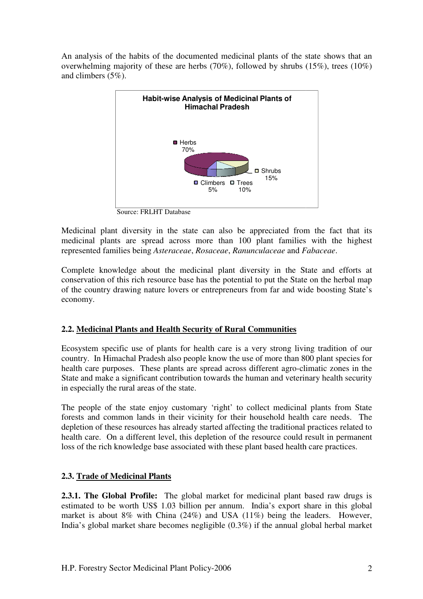An analysis of the habits of the documented medicinal plants of the state shows that an overwhelming majority of these are herbs (70%), followed by shrubs (15%), trees (10%) and climbers (5%).



Source: FRLHT Database

Medicinal plant diversity in the state can also be appreciated from the fact that its medicinal plants are spread across more than 100 plant families with the highest represented families being *Asteraceae*, *Rosaceae*, *Ranunculaceae* and *Fabaceae* .

Complete knowledge about the medicinal plant diversity in the State and efforts at conservation of this rich resource base has the potential to put the State on the herbal map of the country drawing nature lovers or entrepreneurs from far and wide boosting State's economy.

# **2.2. Medicinal Plants and Health Security of Rural Communities**

Ecosystem specific use of plants for health care is a very strong living tradition of our country. In Himachal Pradesh also people know the use of more than 800 plant species for health care purposes. These plants are spread across different agro-climatic zones in the State and make a significant contribution towards the human and veterinary health security in especially the rural areas of the state.

The people of the state enjoy customary 'right' to collect medicinal plants from State forests and common lands in their vicinity for their household health care needs. The depletion of these resources has already started affecting the traditional practices related to health care. On a different level, this depletion of the resource could result in permanent loss of the rich knowledge base associated with these plant based health care practices. **2.3.1. The Global Profile:** The global market for medicinal plant based raw drugs is<br> **2.3.1. The Global Profile:** The global market for medicinal plant based raw drugs is Exercise all across different agro-climatic<br>in towards the human and veterinary he<br>ary 'right' to collect medicinal plants<br>inity for their household health care<br>v started affecting the traditional practic<br>depletion of the

# **2.3. Trade of Medicinal Plants**

estimated to be worth US\$ 1.03 billion per annum. India's export share in this global market is about 8% with China (24%) and USA (11%) being the leaders. However, India's global market share becomes negligible (0.3%) if the annual global herbal market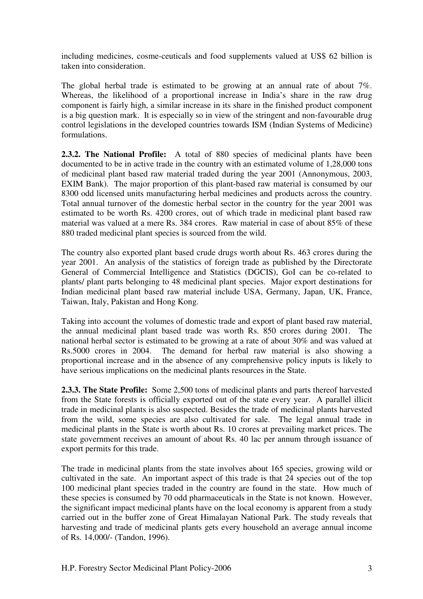including medicines, cosme-ceuticals and food supplements valued at US\$ 62 billion is taken into consideration.

The global herbal trade is estimated to be growing at an annual rate of about 7%. Whereas, the likelihood of a proportional increase in India's share in the raw drug component is fairly high, a similar increase in its share in the finished product component is a big question mark. It is especially so in view of the stringent and non-favourable drug control legislations in the developed countries towards ISM (Indian Systems of Medicine) formulations.

**2.3.2. The National Profile:** A total of 880 species of medicinal plants have been documented to be in active trade in the country with an estimated volume of 1,28,000 tons of medicinal plant based raw material traded during the year 2001 (Annonymous, 2003, EXIM Bank). The major proportion of this plant-based raw material is consumed by our 8300 odd licensed units manufacturing herbal medicines and products across the country. Total annual turnover of the domestic herbal sector in the country for the year 2001 was estimated to be worth Rs. 4200 crores, out of which trade in medicinal plant based raw material was valued at a mere Rs. 384 crores. Raw material in case of about 85% of these 880 traded medicinal plant species is sourced from the wild.

The country also exported plant based crude drugs worth about Rs. 463 crores during the year 2001. An analysis of the statistics of foreign trade as published by the Directorate General of Commercial Intelligence and Statistics (DGCIS), GoI can be co-related to plants/ plant parts belonging to 48 medicinal plant species. Major export destinations for Indian medicinal plant based raw material include USA, Germany, Japan, UK, France, Taiwan, Italy, Pakistan and Hong Kong.

Taking into account the volumes of domestic trade and export of plant based raw material, the annual medicinal plant based trade was worth Rs. 850 crores during 2001. The national herbal sector is estimated to be growing at a rate of about 30% and was valued at Rs.5000 crores in 2004. The demand for herbal raw material is also showing a proportional increase and in the absence of any comprehensive policy inputs is likely to have serious implications on the medicinal plants resources in the State.

**2.3.3. The State Profile:** Some 2,500 tons of medicinal plants and parts thereof harvested from the State forests is officially exported out of the state every year. A parallel illicit trade in medicinal plants is also suspected. Besides the trade of medicinal plants harvested from the wild, some species are also cultivated for sale. The legal annual trade in medicinal plants in the State is worth about Rs. 10 crores at prevailing market prices. The state government receives an amount of about Rs. 40 lac per annum through issuance of export permits for this trade.

The trade in medicinal plants from the state involves about 165 species, growing wild or cultivated in the sate. An important aspect of this trade is that 24 species out of the top 100 medicinal plant species traded in the country are found in the state. How much of these species is consumed by 70 odd pharmaceuticals in the State is not known. However, the significant impact medicinal plants have on the local economy is apparent from a study carried out in the buffer zone of Great Himalayan National Park. The study reveals that harvesting and trade of medicinal plants gets every household an average annual income of Rs. 14,000/- (Tandon, 1996).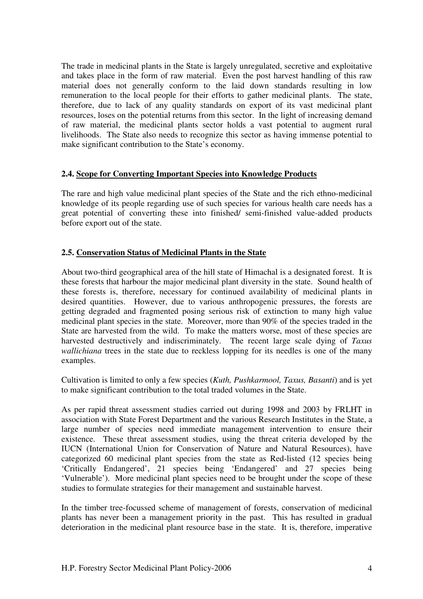The trade in medicinal plants in the State is largely unregulated, secretive and exploitative and takes place in the form of raw material. Even the post harvest handling of this raw material does not generally conform to the laid down standards resulting in low remuneration to the local people for their efforts to gather medicinal plants. The state, therefore, due to lack of any quality standards on export of its vast medicinal plant resources, loses on the potential returns from this sector. In the light of increasing demand of raw material, the medicinal plants sector holds a vast potential to augment rural livelihoods. The State also needs to recognize this sector as having immense potential to make significant contribution to the State's economy.

### **2.4. Scope for Converting Important Species into Knowledge Products**

The rare and high value medicinal plant species of the State and the rich ethno-medicinal knowledge of its people regarding use of such species for various health care needs has a great potential of converting these into finished/ semi-finished value-added products before export out of the state.

# **2.5. Conservation Status of Medicinal Plants in the State**

About two-third geographical area of the hill state of Himachal is a designated forest. It is these forests that harbour the major medicinal plant diversity in the state. Sound health of these forests is, therefore, necessary for continued availability of medicinal plants in desired quantities. However, due to various anthropogenic pressures, the forests are getting degraded and fragmented posing serious risk of extinction to many high value medicinal plant species in the state. Moreover, more than 90% of the species traded in the State are harvested from the wild. To make the matters worse, most of these species are harvested destructively and indiscriminately. The recent large scale dying of *Taxus wallichiana* trees in the state due to reckless lopping for its needles is one of the many examples.

Cultivation is limited to only a few species (*Kuth, Pushkarmool, Taxus, Basanti*) and is yet to make significant contribution to the total traded volumes in the State.

As per rapid threat assessment studies carried out during 1998 and 2003 by FRLHT in association with State Forest Department and the various Research Institutes in the State, a large number of species need immediate management intervention to ensure their existence. These threat assessment studies, using the threat criteria developed by the IUCN (International Union for Conservation of Nature and Natural Resources), have categorized 60 medicinal plant species from the state as Red-listed (12 species being 'Critically Endangered', 21 species being 'Endangered' and 27 species being 'Vulnerable'). More medicinal plant species need to be brought under the scope of these studies to formulate strategies for their management and sustainable harvest.

In the timber tree-focussed scheme of management of forests, conservation of medicinal plants has never been a management priority in the past. This has resulted in gradual deterioration in the medicinal plant resource base in the state. It is, therefore, imperative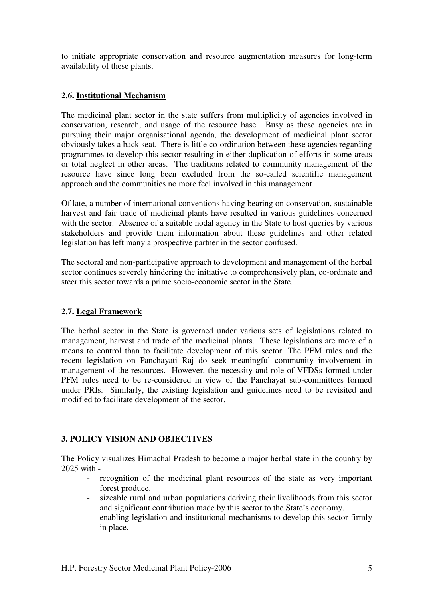to initiate appropriate conservation and resource augmentation measures for long-term availability of these plants.

# **2.6. Institutional Mechanism**

The medicinal plant sector in the state suffers from multiplicity of agencies involved in conservation, research, and usage of the resource base. Busy as these agencies are in pursuing their major organisational agenda, the development of medicinal plant sector obviously takes a back seat. There is little co-ordination between these agencies regarding programmes to develop this sector resulting in either duplication of efforts in some areas or total neglect in other areas. The traditions related to community management of the resource have since long been excluded from the so-called scientific management approach and the communities no more feel involved in this management.

Of late, a number of international conventions having bearing on conservation, sustainable harvest and fair trade of medicinal plants have resulted in various guidelines concerned with the sector. Absence of a suitable nodal agency in the State to host queries by various stakeholders and provide them information about these guidelines and other related legislation has left many a prospective partner in the sector confused.

The sectoral and non-participative approach to development and management of the herbal sector continues severely hindering the initiative to comprehensively plan, co-ordinate and steer this sector towards a prime socio-economic sector in the State.

# **2.7. Legal Framework**

The herbal sector in the State is governed under various sets of legislations related to management, harvest and trade of the medicinal plants. These legislations are more of a means to control than to facilitate development of this sector. The PFM rules and the recent legislation on Panchayati Raj do seek meaningful community involvement in management of the resources. However, the necessity and role of VFDSs formed under PFM rules need to be re-considered in view of the Panchayat sub-committees formed under PRIs. Similarly, the existing legislation and guidelines need to be revisited and modified to facilitate development of the sector.

# **3. POLICY VISION AND OBJECTIVES**

The Policy visualizes Himachal Pradesh to become a major herbal state in the country by 2025 with -

- recognition of the medicinal plant resources of the state as very important forest produce.
- sizeable rural and urban populations deriving their livelihoods from this sector and significant contribution made by this sector to the State's economy.
- enabling legislation and institutional mechanisms to develop this sector firmly in place.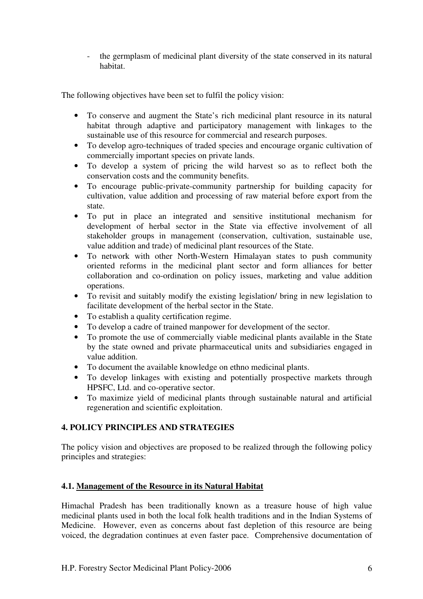- the germplasm of medicinal plant diversity of the state conserved in its natural habitat.

The following objectives have been set to fulfil the policy vision:

- To conserve and augment the State's rich medicinal plant resource in its natural habitat through adaptive and participatory management with linkages to the sustainable use of this resource for commercial and research purposes.
- To develop agro-techniques of traded species and encourage organic cultivation of commercially important species on private lands.
- To develop a system of pricing the wild harvest so as to reflect both the conservation costs and the community benefits.
- To encourage public-private-community partnership for building capacity for cultivation, value addition and processing of raw material before export from the state.
- To put in place an integrated and sensitive institutional mechanism for development of herbal sector in the State via effective involvement of all stakeholder groups in management (conservation, cultivation, sustainable use, value addition and trade) of medicinal plant resources of the State.
- To network with other North-Western Himalayan states to push community oriented reforms in the medicinal plant sector and form alliances for better collaboration and co-ordination on policy issues, marketing and value addition operations.
- To revisit and suitably modify the existing legislation/ bring in new legislation to facilitate development of the herbal sector in the State.
- To establish a quality certification regime.
- To develop a cadre of trained manpower for development of the sector.
- To promote the use of commercially viable medicinal plants available in the State by the state owned and private pharmaceutical units and subsidiaries engaged in value addition.
- To document the available knowledge on ethno medicinal plants.
- To develop linkages with existing and potentially prospective markets through HPSFC, Ltd. and co-operative sector.
- To maximize yield of medicinal plants through sustainable natural and artificial regeneration and scientific exploitation.

# **4. POLICY PRINCIPLES AND STRATEGIES**

The policy vision and objectives are proposed to be realized through the following policy principles and strategies:

# **4.1. Management of the Resource in its Natural Habitat**

Himachal Pradesh has been traditionally known as a treasure house of high value medicinal plants used in both the local folk health traditions and in the Indian Systems of Medicine. However, even as concerns about fast depletion of this resource are being voiced, the degradation continues at even faster pace. Comprehensive documentation of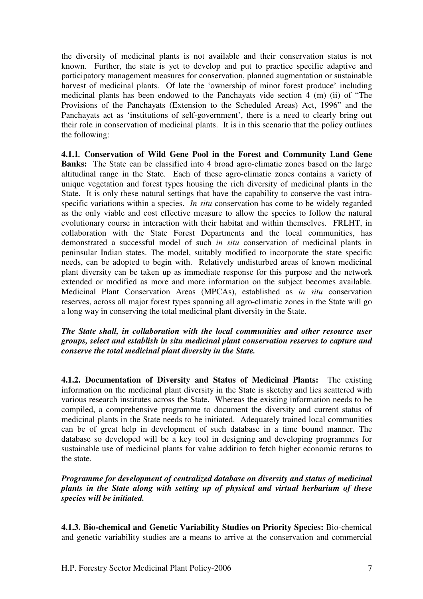the diversity of medicinal plants is not available and their conservation status is not known. Further, the state is yet to develop and put to practice specific adaptive and participatory management measures for conservation, planned augmentation or sustainable harvest of medicinal plants. Of late the 'ownership of minor forest produce' including medicinal plants has been endowed to the Panchayats vide section 4 (m) (ii) of "The Provisions of the Panchayats (Extension to the Scheduled Areas) Act, 1996" and the Panchayats act as 'institutions of self-government', there is a need to clearly bring out their role in conservation of medicinal plants. It is in this scenario that the policy outlines the following:

**4.1.1***.* **Conservation of Wild Gene Pool in the Forest and Community Land Gene Banks:** The State can be classified into 4 broad agro-climatic zones based on the large altitudinal range in the State. Each of these agro-climatic zones contains a variety of unique vegetation and forest types housing the rich diversity of medicinal plants in the State. It is only these natural settings that have the capability to conserve the vast intraspecific variations within a species. *In situ* conservation has come to be widely regarded as the only viable and cost effective measure to allow the species to follow the natural evolutionary course in interaction with their habitat and within themselves. FRLHT, in collaboration with the State Forest Departments and the local communities, has demonstrated a successful model of such *in situ* conservation of medicinal plants in peninsular Indian states. The model, suitably modified to incorporate the state specific needs, can be adopted to begin with. Relatively undisturbed areas of known medicinal plant diversity can be taken up as immediate response for this purpose and the network extended or modified as more and more information on the subject becomes available. Medicinal Plant Conservation Areas (MPCAs), established as *in situ* conservation reserves, across all major forest types spanning all agro-climatic zones in the State will go a long way in conserving the total medicinal plant diversity in the State.

*The State shall, in collaboration with the local communities and other resource user groups, select and establish in situ medicinal plant conservation reserves to capture and conserve the total medicinal plant diversity in the State.* 

**4.1.2. Documentation of Diversity and Status of Medicinal Plants:** The existing information on the medicinal plant diversity in the State is sketchy and lies scattered with various research institutes across the State. Whereas the existing information needs to be compiled, a comprehensive programme to document the diversity and current status of medicinal plants in the State needs to be initiated. Adequately trained local communities can be of great help in development of such database in a time bound manner. The database so developed will be a key tool in designing and developing programmes for sustainable use of medicinal plants for value addition to fetch higher economic returns to the state.

*Programme for development of centralized database on diversity and status of medicinal plants in the State along with setting up of physical and virtual herbarium of these species will be initiated.* 

**4.1.3. Bio-chemical and Genetic Variability Studies on Priority Species:** Bio-chemical and genetic variability studies are a means to arrive at the conservation and commercial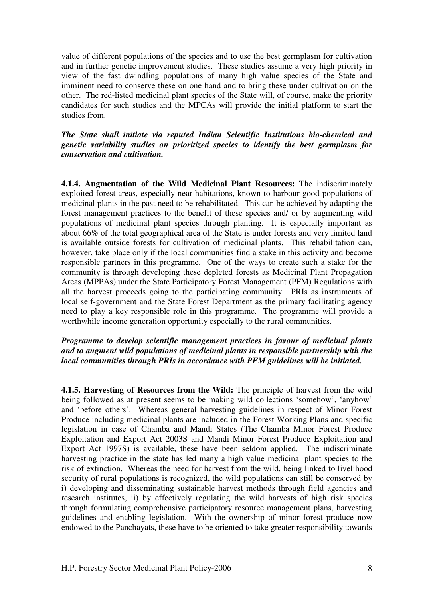value of different populations of the species and to use the best germplasm for cultivation and in further genetic improvement studies. These studies assume a very high priority in view of the fast dwindling populations of many high value species of the State and imminent need to conserve these on one hand and to bring these under cultivation on the other. The red-listed medicinal plant species of the State will, of course, make the priority candidates for such studies and the MPCAs will provide the initial platform to start the studies from.

*The State shall initiate via reputed Indian Scientific Institutions bio-chemical and genetic variability studies on prioritized species to identify the best germplasm for conservation and cultivation.* 

**4.1.4. Augmentation of the Wild Medicinal Plant Resources:** The indiscriminately exploited forest areas, especially near habitations, known to harbour good populations of medicinal plants in the past need to be rehabilitated. This can be achieved by adapting the forest management practices to the benefit of these species and/ or by augmenting wild populations of medicinal plant species through planting. It is especially important as about 66% of the total geographical area of the State is under forests and very limited land is available outside forests for cultivation of medicinal plants. This rehabilitation can, however, take place only if the local communities find a stake in this activity and become responsible partners in this programme. One of the ways to create such a stake for the community is through developing these depleted forests as Medicinal Plant Propagation Areas (MPPAs) under the State Participatory Forest Management (PFM) Regulations with all the harvest proceeds going to the participating community. PRIs as instruments of local self-government and the State Forest Department as the primary facilitating agency need to play a key responsible role in this programme. The programme will provide a worthwhile income generation opportunity especially to the rural communities.

### *Programme to develop scientific management practices in favour of medicinal plants and to augment wild populations of medicinal plants in responsible partnership with the local communities through PRIs in accordance with PFM guidelines will be initiated.*

**4.1.5. Harvesting of Resources from the Wild:** The principle of harvest from the wild being followed as at present seems to be making wild collections 'somehow', 'anyhow' and 'before others'. Whereas general harvesting guidelines in respect of Minor Forest Produce including medicinal plants are included in the Forest Working Plans and specific legislation in case of Chamba and Mandi States (The Chamba Minor Forest Produce Exploitation and Export Act 2003S and Mandi Minor Forest Produce Exploitation and Export Act 1997S) is available, these have been seldom applied. The indiscriminate harvesting practice in the state has led many a high value medicinal plant species to the risk of extinction. Whereas the need for harvest from the wild, being linked to livelihood security of rural populations is recognized, the wild populations can still be conserved by i) developing and disseminating sustainable harvest methods through field agencies and research institutes, ii) by effectively regulating the wild harvests of high risk species through formulating comprehensive participatory resource management plans, harvesting guidelines and enabling legislation. With the ownership of minor forest produce now endowed to the Panchayats, these have to be oriented to take greater responsibility towards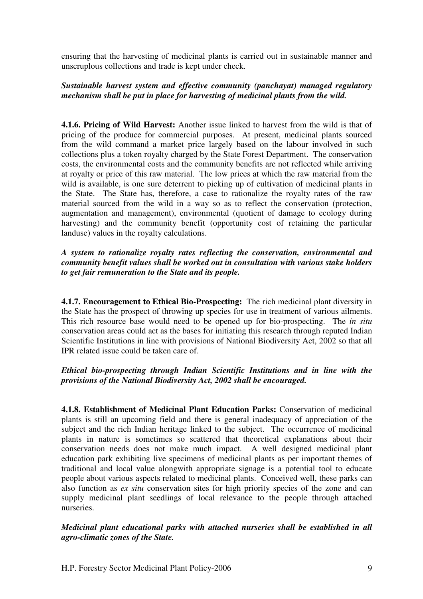ensuring that the harvesting of medicinal plants is carried out in sustainable manner and unscruplous collections and trade is kept under check.

# *Sustainable harvest system and effective community (panchayat) managed regulatory mechanism shall be put in place for harvesting of medicinal plants from the wild.*

**4.1.6. Pricing of Wild Harvest:** Another issue linked to harvest from the wild is that of pricing of the produce for commercial purposes. At present, medicinal plants sourced from the wild command a market price largely based on the labour involved in such collections plus a token royalty charged by the State Forest Department. The conservation costs, the environmental costs and the community benefits are not reflected while arriving at royalty or price of this raw material. The low prices at which the raw material from the wild is available, is one sure deterrent to picking up of cultivation of medicinal plants in the State. The State has, therefore, a case to rationalize the royalty rates of the raw material sourced from the wild in a way so as to reflect the conservation (protection, augmentation and management), environmental (quotient of damage to ecology during harvesting) and the community benefit (opportunity cost of retaining the particular landuse) values in the royalty calculations.

# *A system to rationalize royalty rates reflecting the conservation, environmental and community benefit values shall be worked out in consultation with various stake holders to get fair remuneration to the State and its people.*

**4.1.7. Encouragement to Ethical Bio-Prospecting:** The rich medicinal plant diversity in the State has the prospect of throwing up species for use in treatment of various ailments. This rich resource base would need to be opened up for bio-prospecting. The *in situ* conservation areas could act as the bases for initiating this research through reputed Indian Scientific Institutions in line with provisions of National Biodiversity Act, 2002 so that all IPR related issue could be taken care of.

# *Ethical bio-prospecting through Indian Scientific Institutions and in line with the provisions of the National Biodiversity Act, 2002 shall be encouraged.*

**4.1.8. Establishment of Medicinal Plant Education Parks:** Conservation of medicinal plants is still an upcoming field and there is general inadequacy of appreciation of the subject and the rich Indian heritage linked to the subject. The occurrence of medicinal plants in nature is sometimes so scattered that theoretical explanations about their conservation needs does not make much impact. A well designed medicinal plant education park exhibiting live specimens of medicinal plants as per important themes of traditional and local value alongwith appropriate signage is a potential tool to educate people about various aspects related to medicinal plants. Conceived well, these parks can also function as *ex situ* conservation sites for high priority species of the zone and can supply medicinal plant seedlings of local relevance to the people through attached nurseries.

# *Medicinal plant educational parks with attached nurseries shall be established in all agro-climatic zones of the State.*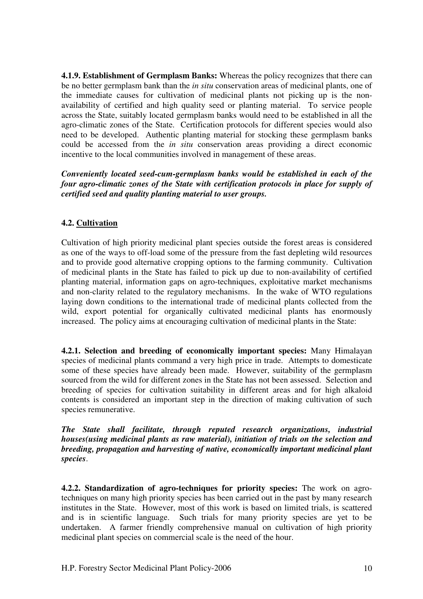**4.1.9. Establishment of Germplasm Banks:** Whereas the policy recognizes that there can be no better germplasm bank than the *in situ* conservation areas of medicinal plants, one of the immediate causes for cultivation of medicinal plants not picking up is the nonavailability of certified and high quality seed or planting material. To service people across the State, suitably located germplasm banks would need to be established in all the agro-climatic zones of the State. Certification protocols for different species would also need to be developed. Authentic planting material for stocking these germplasm banks could be accessed from the *in situ* conservation areas providing a direct economic incentive to the local communities involved in management of these areas.

*Conveniently located seed-cum-germplasm banks would be established in each of the four agro-climatic zones of the State with certification protocols in place for supply of certified seed and quality planting material to user groups.* 

# **4.2. Cultivation**

Cultivation of high priority medicinal plant species outside the forest areas is considered as one of the ways to off-load some of the pressure from the fast depleting wild resources and to provide good alternative cropping options to the farming community. Cultivation of medicinal plants in the State has failed to pick up due to non-availability of certified planting material, information gaps on agro-techniques, exploitative market mechanisms and non-clarity related to the regulatory mechanisms. In the wake of WTO regulations laying down conditions to the international trade of medicinal plants collected from the wild, export potential for organically cultivated medicinal plants has enormously increased. The policy aims at encouraging cultivation of medicinal plants in the State:

**4.2.1. Selection and breeding of economically important species:** Many Himalayan species of medicinal plants command a very high price in trade. Attempts to domesticate some of these species have already been made. However, suitability of the germplasm sourced from the wild for different zones in the State has not been assessed. Selection and breeding of species for cultivation suitability in different areas and for high alkaloid contents is considered an important step in the direction of making cultivation of such species remunerative.

*The State shall facilitate, through reputed research organizations, industrial houses(using medicinal plants as raw material), initiation of trials on the selection and breeding, propagation and harvesting of native, economically important medicinal plant species*.

**4.2.2. Standardization of agro-techniques for priority species:** The work on agrotechniques on many high priority species has been carried out in the past by many research institutes in the State. However, most of this work is based on limited trials, is scattered and is in scientific language. Such trials for many priority species are yet to be undertaken. A farmer friendly comprehensive manual on cultivation of high priority medicinal plant species on commercial scale is the need of the hour.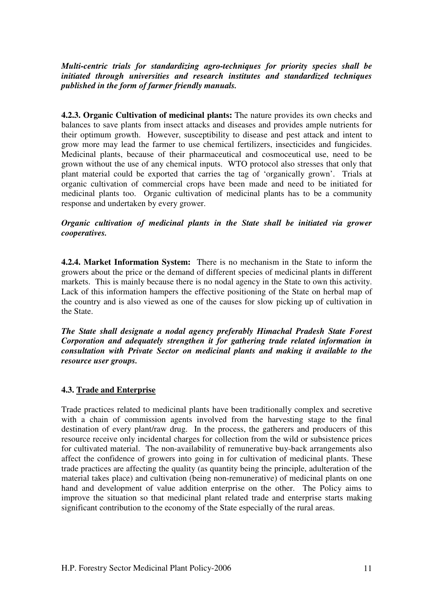*Multi-centric trials for standardizing agro-techniques for priority species shall be initiated through universities and research institutes and standardized techniques published in the form of farmer friendly manuals.*

**4.2.3. Organic Cultivation of medicinal plants:** The nature provides its own checks and balances to save plants from insect attacks and diseases and provides ample nutrients for their optimum growth. However, susceptibility to disease and pest attack and intent to grow more may lead the farmer to use chemical fertilizers, insecticides and fungicides. Medicinal plants, because of their pharmaceutical and cosmoceutical use, need to be grown without the use of any chemical inputs. WTO protocol also stresses that only that plant material could be exported that carries the tag of 'organically grown'. Trials at organic cultivation of commercial crops have been made and need to be initiated for medicinal plants too. Organic cultivation of medicinal plants has to be a community response and undertaken by every grower.

*Organic cultivation of medicinal plants in the State shall be initiated via grower cooperatives.* 

**4.2.4. Market Information System:** There is no mechanism in the State to inform the growers about the price or the demand of different species of medicinal plants in different markets. This is mainly because there is no nodal agency in the State to own this activity. Lack of this information hampers the effective positioning of the State on herbal map of the country and is also viewed as one of the causes for slow picking up of cultivation in the State.

*The State shall designate a nodal agency preferably Himachal Pradesh State Forest Corporation and adequately strengthen it for gathering trade related information in consultation with Private Sector on medicinal plants and making it available to the resource user groups.* 

#### **4.3. Trade and Enterprise**

Trade practices related to medicinal plants have been traditionally complex and secretive with a chain of commission agents involved from the harvesting stage to the final destination of every plant/raw drug. In the process, the gatherers and producers of this resource receive only incidental charges for collection from the wild or subsistence prices for cultivated material. The non-availability of remunerative buy-back arrangements also affect the confidence of growers into going in for cultivation of medicinal plants. These trade practices are affecting the quality (as quantity being the principle, adulteration of the material takes place) and cultivation (being non-remunerative) of medicinal plants on one hand and development of value addition enterprise on the other. The Policy aims to improve the situation so that medicinal plant related trade and enterprise starts making significant contribution to the economy of the State especially of the rural areas.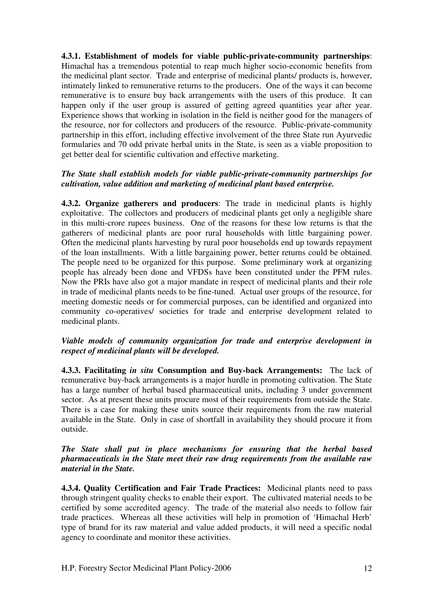**4.3.1. Establishment of models for viable public-private-community partnerships**: Himachal has a tremendous potential to reap much higher socio-economic benefits from the medicinal plant sector. Trade and enterprise of medicinal plants/ products is, however, intimately linked to remunerative returns to the producers. One of the ways it can become remunerative is to ensure buy back arrangements with the users of this produce. It can happen only if the user group is assured of getting agreed quantities year after year. Experience shows that working in isolation in the field is neither good for the managers of the resource, nor for collectors and producers of the resource. Public-private-community partnership in this effort, including effective involvement of the three State run Ayurvedic formularies and 70 odd private herbal units in the State, is seen as a viable proposition to get better deal for scientific cultivation and effective marketing.

# *The State shall establish models for viable public-private-community partnerships for cultivation, value addition and marketing of medicinal plant based enterprise.*

**4.3.2. Organize gatherers and producers**: The trade in medicinal plants is highly exploitative. The collectors and producers of medicinal plants get only a negligible share in this multi-crore rupees business. One of the reasons for these low returns is that the gatherers of medicinal plants are poor rural households with little bargaining power. Often the medicinal plants harvesting by rural poor households end up towards repayment of the loan installments. With a little bargaining power, better returns could be obtained. The people need to be organized for this purpose. Some preliminary work at organizing people has already been done and VFDSs have been constituted under the PFM rules. Now the PRIs have also got a major mandate in respect of medicinal plants and their role in trade of medicinal plants needs to be fine-tuned. Actual user groups of the resource, for meeting domestic needs or for commercial purposes, can be identified and organized into community co-operatives/ societies for trade and enterprise development related to medicinal plants.

### *Viable models of community organization for trade and enterprise development in respect of medicinal plants will be developed.*

**4.3.3. Facilitating** *in situ* **Consumption and Buy-back Arrangements:** The lack of remunerative buy-back arrangements is a major hurdle in promoting cultivation. The State has a large number of herbal based pharmaceutical units, including 3 under government sector. As at present these units procure most of their requirements from outside the State. There is a case for making these units source their requirements from the raw material available in the State. Only in case of shortfall in availability they should procure it from outside.

# *The State shall put in place mechanisms for ensuring that the herbal based pharmaceuticals in the State meet their raw drug requirements from the available raw material in the State.*

**4.3.4. Quality Certification and Fair Trade Practices:** Medicinal plants need to pass through stringent quality checks to enable their export. The cultivated material needs to be certified by some accredited agency. The trade of the material also needs to follow fair trade practices. Whereas all these activities will help in promotion of 'Himachal Herb' type of brand for its raw material and value added products, it will need a specific nodal agency to coordinate and monitor these activities.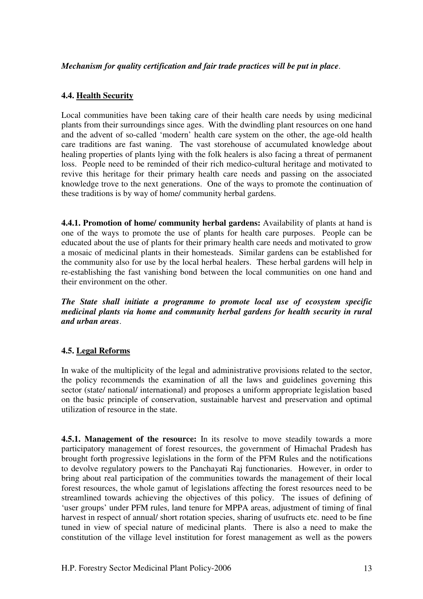### *Mechanism for quality certification and fair trade practices will be put in place*.

### **4.4. Health Security**

Local communities have been taking care of their health care needs by using medicinal plants from their surroundings since ages. With the dwindling plant resources on one hand and the advent of so-called 'modern' health care system on the other, the age-old health care traditions are fast waning. The vast storehouse of accumulated knowledge about healing properties of plants lying with the folk healers is also facing a threat of permanent loss. People need to be reminded of their rich medico-cultural heritage and motivated to revive this heritage for their primary health care needs and passing on the associated knowledge trove to the next generations. One of the ways to promote the continuation of these traditions is by way of home/ community herbal gardens.

**4.4.1. Promotion of home/ community herbal gardens:** Availability of plants at hand is one of the ways to promote the use of plants for health care purposes. People can be educated about the use of plants for their primary health care needs and motivated to grow a mosaic of medicinal plants in their homesteads. Similar gardens can be established for the community also for use by the local herbal healers. These herbal gardens will help in re-establishing the fast vanishing bond between the local communities on one hand and their environment on the other.

*The State shall initiate a programme to promote local use of ecosystem specific medicinal plants via home and community herbal gardens for health security in rural and urban areas*.

#### **4.5. Legal Reforms**

In wake of the multiplicity of the legal and administrative provisions related to the sector, the policy recommends the examination of all the laws and guidelines governing this sector (state/ national/ international) and proposes a uniform appropriate legislation based on the basic principle of conservation, sustainable harvest and preservation and optimal utilization of resource in the state.

**4.5.1. Management of the resource:** In its resolve to move steadily towards a more participatory management of forest resources, the government of Himachal Pradesh has brought forth progressive legislations in the form of the PFM Rules and the notifications to devolve regulatory powers to the Panchayati Raj functionaries. However, in order to bring about real participation of the communities towards the management of their local forest resources, the whole gamut of legislations affecting the forest resources need to be streamlined towards achieving the objectives of this policy. The issues of defining of 'user groups' under PFM rules, land tenure for MPPA areas, adjustment of timing of final harvest in respect of annual/ short rotation species, sharing of usufructs etc. need to be fine tuned in view of special nature of medicinal plants. There is also a need to make the constitution of the village level institution for forest management as well as the powers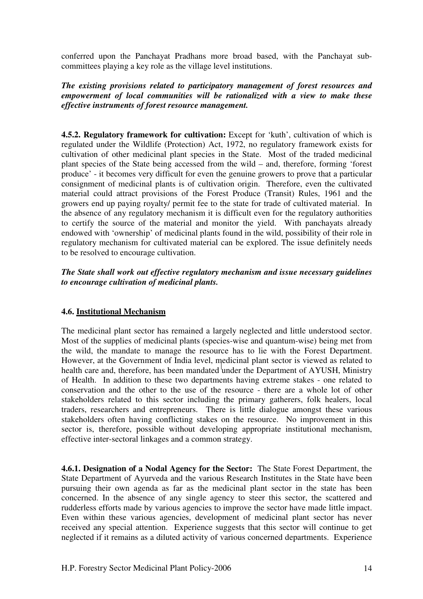conferred upon the Panchayat Pradhans more broad based, with the Panchayat subcommittees playing a key role as the village level institutions.

*The existing provisions related to participatory management of forest resources and empowerment of local communities will be rationalized with a view to make these effective instruments of forest resource management.* 

**4.5.2. Regulatory framework for cultivation:** Except for 'kuth', cultivation of which is regulated under the Wildlife (Protection) Act, 1972, no regulatory framework exists for cultivation of other medicinal plant species in the State. Most of the traded medicinal plant species of the State being accessed from the wild – and, therefore, forming 'forest produce' - it becomes very difficult for even the genuine growers to prove that a particular consignment of medicinal plants is of cultivation origin. Therefore, even the cultivated material could attract provisions of the Forest Produce (Transit) Rules, 1961 and the growers end up paying royalty/ permit fee to the state for trade of cultivated material. In the absence of any regulatory mechanism it is difficult even for the regulatory authorities to certify the source of the material and monitor the yield. With panchayats already endowed with 'ownership' of medicinal plants found in the wild, possibility of their role in regulatory mechanism for cultivated material can be explored. The issue definitely needs to be resolved to encourage cultivation.

### *The State shall work out effective regulatory mechanism and issue necessary guidelines to encourage cultivation of medicinal plants.*

# **4.6. Institutional Mechanism**

The medicinal plant sector has remained a largely neglected and little understood sector. Most of the supplies of medicinal plants (species-wise and quantum-wise) being met from the wild, the mandate to manage the resource has to lie with the Forest Department. However, at the Government of India level, medicinal plant sector is viewed as related to health care and, therefore, has been mandated under the Department of AYUSH, Ministry of Health. In addition to these two departments having extreme stakes - one related to conservation and the other to the use of the resource - there are a whole lot of other stakeholders related to this sector including the primary gatherers, folk healers, local traders, researchers and entrepreneurs. There is little dialogue amongst these various stakeholders often having conflicting stakes on the resource. No improvement in this sector is, therefore, possible without developing appropriate institutional mechanism, effective inter-sectoral linkages and a common strategy.

**4.6.1. Designation of a Nodal Agency for the Sector:** The State Forest Department, the State Department of Ayurveda and the various Research Institutes in the State have been pursuing their own agenda as far as the medicinal plant sector in the state has been concerned. In the absence of any single agency to steer this sector, the scattered and rudderless efforts made by various agencies to improve the sector have made little impact. Even within these various agencies, development of medicinal plant sector has never received any special attention. Experience suggests that this sector will continue to get neglected if it remains as a diluted activity of various concerned departments. Experience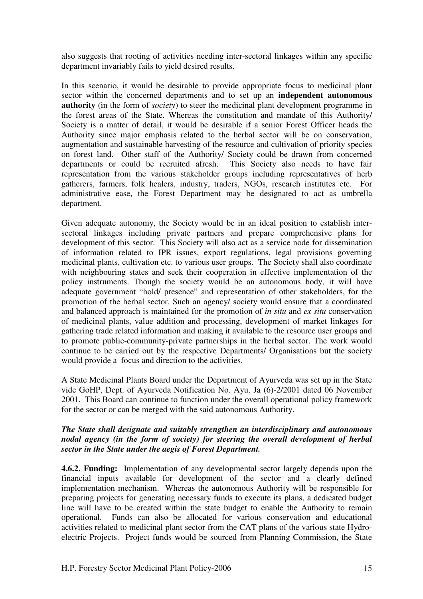also suggests that rooting of activities needing inter-sectoral linkages within any specific department invariably fails to yield desired results.

In this scenario, it would be desirable to provide appropriate focus to medicinal plant sector within the concerned departments and to set up an **independent autonomous authority** (in the form of *society*) to steer the medicinal plant development programme in the forest areas of the State. Whereas the constitution and mandate of this Authority/ Society is a matter of detail, it would be desirable if a senior Forest Officer heads the Authority since major emphasis related to the herbal sector will be on conservation, augmentation and sustainable harvesting of the resource and cultivation of priority species on forest land. Other staff of the Authority/ Society could be drawn from concerned departments or could be recruited afresh. This Society also needs to have fair representation from the various stakeholder groups including representatives of herb gatherers, farmers, folk healers, industry, traders, NGOs, research institutes etc. For administrative ease, the Forest Department may be designated to act as umbrella department.

Given adequate autonomy, the Society would be in an ideal position to establish intersectoral linkages including private partners and prepare comprehensive plans for development of this sector. This Society will also act as a service node for dissemination of information related to IPR issues, export regulations, legal provisions governing medicinal plants, cultivation etc. to various user groups. The Society shall also coordinate with neighbouring states and seek their cooperation in effective implementation of the policy instruments. Though the society would be an autonomous body, it will have adequate government "hold/ presence" and representation of other stakeholders, for the promotion of the herbal sector. Such an agency/ society would ensure that a coordinated and balanced approach is maintained for the promotion of *in situ* and *ex situ* conservation of medicinal plants, value addition and processing, development of market linkages for gathering trade related information and making it available to the resource user groups and to promote public-community-private partnerships in the herbal sector. The work would continue to be carried out by the respective Departments/ Organisations but the society would provide a focus and direction to the activities.

A State Medicinal Plants Board under the Department of Ayurveda was set up in the State vide GoHP, Dept. of Ayurveda Notification No. Ayu. Ja (6)-2/2001 dated 06 November 2001. This Board can continue to function under the overall operational policy framework for the sector or can be merged with the said autonomous Authority.

### *The State shall designate and suitably strengthen an interdisciplinary and autonomous nodal agency (in the form of society) for steering the overall development of herbal sector in the State under the aegis of Forest Department.*

**4.6.2. Funding:** Implementation of any developmental sector largely depends upon the financial inputs available for development of the sector and a clearly defined implementation mechanism. Whereas the autonomous Authority will be responsible for preparing projects for generating necessary funds to execute its plans, a dedicated budget line will have to be created within the state budget to enable the Authority to remain operational. Funds can also be allocated for various conservation and educational activities related to medicinal plant sector from the CAT plans of the various state Hydroelectric Projects. Project funds would be sourced from Planning Commission, the State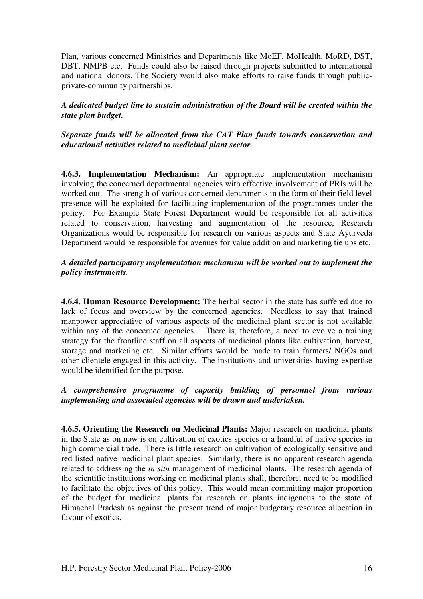Plan, various concerned Ministries and Departments like MoEF, MoHealth, MoRD, DST, DBT, NMPB etc. Funds could also be raised through projects submitted to international and national donors. The Society would also make efforts to raise funds through publicprivate-community partnerships.

# *A dedicated budget line to sustain administration of the Board will be created within the state plan budget.*

# *Separate funds will be allocated from the CAT Plan funds towards conservation and educational activities related to medicinal plant sector.*

**4.6.3. Implementation Mechanism:** An appropriate implementation mechanism involving the concerned departmental agencies with effective involvement of PRIs will be worked out. The strength of various concerned departments in the form of their field level presence will be exploited for facilitating implementation of the programmes under the policy. For Example State Forest Department would be responsible for all activities related to conservation, harvesting and augmentation of the resource, Research Organizations would be responsible for research on various aspects and State Ayurveda Department would be responsible for avenues for value addition and marketing tie ups etc.

# *A detailed participatory implementation mechanism will be worked out to implement the policy instruments.*

**4.6.4. Human Resource Development:** The herbal sector in the state has suffered due to lack of focus and overview by the concerned agencies. Needless to say that trained manpower appreciative of various aspects of the medicinal plant sector is not available within any of the concerned agencies. There is, therefore, a need to evolve a training strategy for the frontline staff on all aspects of medicinal plants like cultivation, harvest, storage and marketing etc. Similar efforts would be made to train farmers/ NGOs and other clientele engaged in this activity. The institutions and universities having expertise would be identified for the purpose.

# *A comprehensive programme of capacity building of personnel from various implementing and associated agencies will be drawn and undertaken.*

**4.6.5. Orienting the Research on Medicinal Plants:** Major research on medicinal plants in the State as on now is on cultivation of exotics species or a handful of native species in high commercial trade. There is little research on cultivation of ecologically sensitive and red listed native medicinal plant species. Similarly, there is no apparent research agenda related to addressing the *in situ* management of medicinal plants. The research agenda of the scientific institutions working on medicinal plants shall, therefore, need to be modified to facilitate the objectives of this policy. This would mean committing major proportion of the budget for medicinal plants for research on plants indigenous to the state of Himachal Pradesh as against the present trend of major budgetary resource allocation in favour of exotics.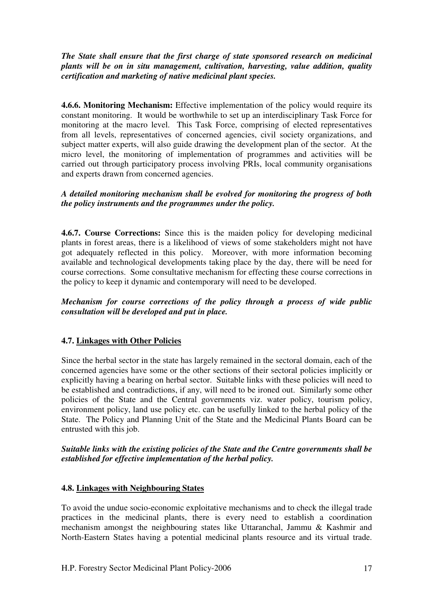# *The State shall ensure that the first charge of state sponsored research on medicinal plants will be on in situ management, cultivation, harvesting, value addition, quality certification and marketing of native medicinal plant species.*

**4.6.6. Monitoring Mechanism:** Effective implementation of the policy would require its constant monitoring. It would be worthwhile to set up an interdisciplinary Task Force for monitoring at the macro level. This Task Force, comprising of elected representatives from all levels, representatives of concerned agencies, civil society organizations, and subject matter experts, will also guide drawing the development plan of the sector. At the micro level, the monitoring of implementation of programmes and activities will be carried out through participatory process involving PRIs, local community organisations and experts drawn from concerned agencies.

# *A detailed monitoring mechanism shall be evolved for monitoring the progress of both the policy instruments and the programmes under the policy.*

**4.6.7. Course Corrections:** Since this is the maiden policy for developing medicinal plants in forest areas, there is a likelihood of views of some stakeholders might not have got adequately reflected in this policy. Moreover, with more information becoming available and technological developments taking place by the day, there will be need for course corrections. Some consultative mechanism for effecting these course corrections in the policy to keep it dynamic and contemporary will need to be developed.

*Mechanism for course corrections of the policy through a process of wide public consultation will be developed and put in place.* 

# **4.7. Linkages with Other Policies**

Since the herbal sector in the state has largely remained in the sectoral domain, each of the concerned agencies have some or the other sections of their sectoral policies implicitly or explicitly having a bearing on herbal sector. Suitable links with these policies will need to be established and contradictions, if any, will need to be ironed out. Similarly some other policies of the State and the Central governments viz. water policy, tourism policy, environment policy, land use policy etc. can be usefully linked to the herbal policy of the State. The Policy and Planning Unit of the State and the Medicinal Plants Board can be entrusted with this job.

# *Suitable links with the existing policies of the State and the Centre governments shall be established for effective implementation of the herbal policy.*

# **4.8. Linkages with Neighbouring States**

To avoid the undue socio-economic exploitative mechanisms and to check the illegal trade practices in the medicinal plants, there is every need to establish a coordination mechanism amongst the neighbouring states like Uttaranchal, Jammu & Kashmir and North-Eastern States having a potential medicinal plants resource and its virtual trade.